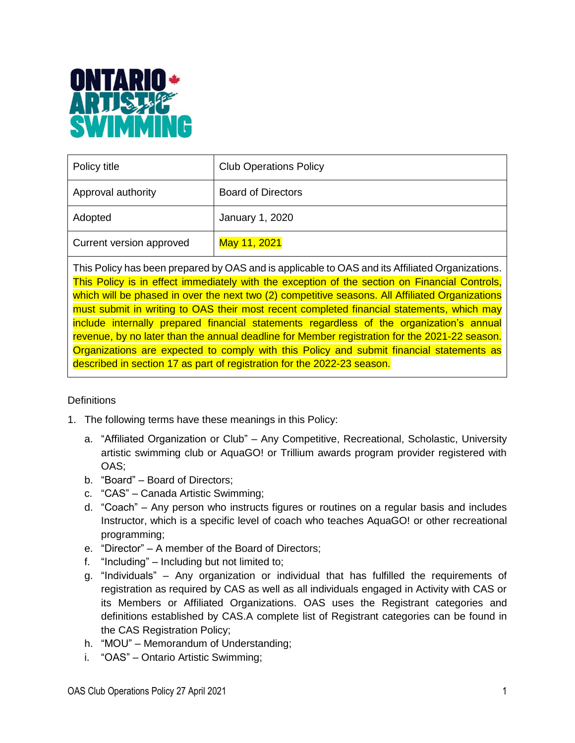

| Policy title             | <b>Club Operations Policy</b> |
|--------------------------|-------------------------------|
| Approval authority       | <b>Board of Directors</b>     |
| Adopted                  | January 1, 2020               |
| Current version approved | May 11, 2021                  |

This Policy has been prepared by OAS and is applicable to OAS and its Affiliated Organizations. This Policy is in effect immediately with the exception of the section on Financial Controls, which will be phased in over the next two (2) competitive seasons. All Affiliated Organizations must submit in writing to OAS their most recent completed financial statements, which may include internally prepared financial statements regardless of the organization's annual revenue, by no later than the annual deadline for Member registration for the 2021-22 season. Organizations are expected to comply with this Policy and submit financial statements as described in section 17 as part of registration for the 2022-23 season.

#### **Definitions**

- 1. The following terms have these meanings in this Policy:
	- a. "Affiliated Organization or Club" Any Competitive, Recreational, Scholastic, University artistic swimming club or AquaGO! or Trillium awards program provider registered with OAS;
	- b. "Board" Board of Directors;
	- c. "CAS" Canada Artistic Swimming;
	- d. "Coach" Any person who instructs figures or routines on a regular basis and includes Instructor, which is a specific level of coach who teaches AquaGO! or other recreational programming;
	- e. "Director" A member of the Board of Directors;
	- f. "Including" Including but not limited to;
	- g. "Individuals" Any organization or individual that has fulfilled the requirements of registration as required by CAS as well as all individuals engaged in Activity with CAS or its Members or Affiliated Organizations. OAS uses the Registrant categories and definitions established by CAS.A complete list of Registrant categories can be found in the CAS Registration Policy;
	- h. "MOU" Memorandum of Understanding;
	- i. "OAS" Ontario Artistic Swimming;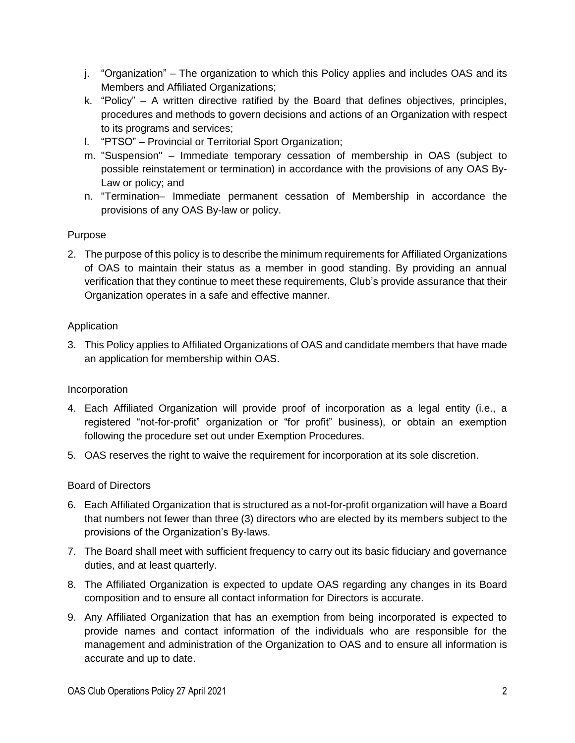- j. "Organization" The organization to which this Policy applies and includes OAS and its Members and Affiliated Organizations;
- k. "Policy" A written directive ratified by the Board that defines objectives, principles, procedures and methods to govern decisions and actions of an Organization with respect to its programs and services;
- l. "PTSO" Provincial or Territorial Sport Organization;
- m. "Suspension" Immediate temporary cessation of membership in OAS (subject to possible reinstatement or termination) in accordance with the provisions of any OAS By-Law or policy; and
- n. "Termination– Immediate permanent cessation of Membership in accordance the provisions of any OAS By-law or policy.

# Purpose

2. The purpose of this policy is to describe the minimum requirements for Affiliated Organizations of OAS to maintain their status as a member in good standing. By providing an annual verification that they continue to meet these requirements, Club's provide assurance that their Organization operates in a safe and effective manner.

# Application

3. This Policy applies to Affiliated Organizations of OAS and candidate members that have made an application for membership within OAS.

# Incorporation

- 4. Each Affiliated Organization will provide proof of incorporation as a legal entity (i.e., a registered "not-for-profit" organization or "for profit" business), or obtain an exemption following the procedure set out under Exemption Procedures.
- 5. OAS reserves the right to waive the requirement for incorporation at its sole discretion.

# Board of Directors

- 6. Each Affiliated Organization that is structured as a not-for-profit organization will have a Board that numbers not fewer than three (3) directors who are elected by its members subject to the provisions of the Organization's By-laws.
- 7. The Board shall meet with sufficient frequency to carry out its basic fiduciary and governance duties, and at least quarterly.
- 8. The Affiliated Organization is expected to update OAS regarding any changes in its Board composition and to ensure all contact information for Directors is accurate.
- 9. Any Affiliated Organization that has an exemption from being incorporated is expected to provide names and contact information of the individuals who are responsible for the management and administration of the Organization to OAS and to ensure all information is accurate and up to date.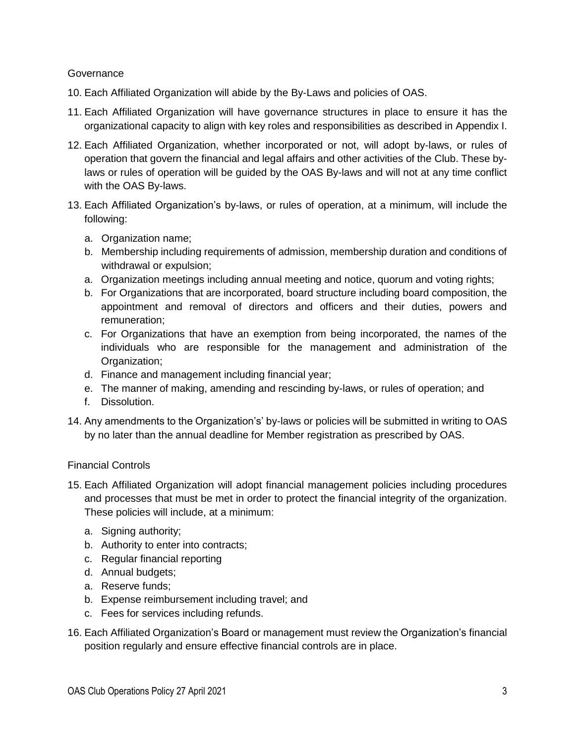#### **Governance**

- 10. Each Affiliated Organization will abide by the By-Laws and policies of OAS.
- 11. Each Affiliated Organization will have governance structures in place to ensure it has the organizational capacity to align with key roles and responsibilities as described in Appendix I.
- 12. Each Affiliated Organization, whether incorporated or not, will adopt by-laws, or rules of operation that govern the financial and legal affairs and other activities of the Club. These bylaws or rules of operation will be guided by the OAS By-laws and will not at any time conflict with the OAS By-laws.
- 13. Each Affiliated Organization's by-laws, or rules of operation, at a minimum, will include the following:
	- a. Organization name;
	- b. Membership including requirements of admission, membership duration and conditions of withdrawal or expulsion;
	- a. Organization meetings including annual meeting and notice, quorum and voting rights;
	- b. For Organizations that are incorporated, board structure including board composition, the appointment and removal of directors and officers and their duties, powers and remuneration;
	- c. For Organizations that have an exemption from being incorporated, the names of the individuals who are responsible for the management and administration of the Organization;
	- d. Finance and management including financial year;
	- e. The manner of making, amending and rescinding by-laws, or rules of operation; and
	- f. Dissolution.
- 14. Any amendments to the Organization's' by-laws or policies will be submitted in writing to OAS by no later than the annual deadline for Member registration as prescribed by OAS.

#### Financial Controls

- 15. Each Affiliated Organization will adopt financial management policies including procedures and processes that must be met in order to protect the financial integrity of the organization. These policies will include, at a minimum:
	- a. Signing authority;
	- b. Authority to enter into contracts;
	- c. Regular financial reporting
	- d. Annual budgets;
	- a. Reserve funds;
	- b. Expense reimbursement including travel; and
	- c. Fees for services including refunds.
- 16. Each Affiliated Organization's Board or management must review the Organization's financial position regularly and ensure effective financial controls are in place.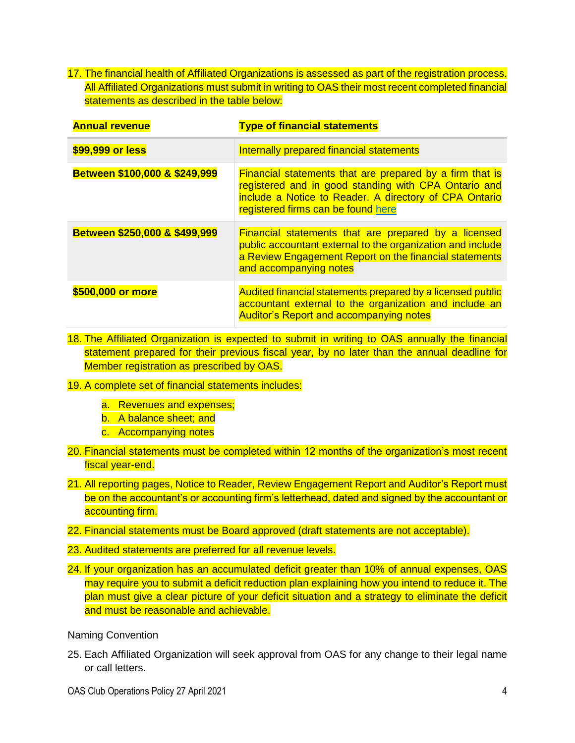17. The financial health of Affiliated Organizations is assessed as part of the registration process. All Affiliated Organizations must submit in writing to OAS their most recent completed financial statements as described in the table below:

| <b>Annual revenue</b>         | <b>Type of financial statements</b>                                                                                                                                                                                     |
|-------------------------------|-------------------------------------------------------------------------------------------------------------------------------------------------------------------------------------------------------------------------|
| \$99,999 or less              | Internally prepared financial statements                                                                                                                                                                                |
| Between \$100,000 & \$249,999 | <b>Financial statements that are prepared by a firm that is</b><br>registered and in good standing with CPA Ontario and<br>include a Notice to Reader. A directory of CPA Ontario<br>registered firms can be found here |
| Between \$250,000 & \$499,999 | <b>Financial statements that are prepared by a licensed</b><br>public accountant external to the organization and include<br>a Review Engagement Report on the financial statements<br>and accompanying notes           |
| \$500,000 or more             | Audited financial statements prepared by a licensed public<br>accountant external to the organization and include an<br><b>Auditor's Report and accompanying notes</b>                                                  |

- 18. The Affiliated Organization is expected to submit in writing to OAS annually the financial statement prepared for their previous fiscal year, by no later than the annual deadline for Member registration as prescribed by OAS.
- 19. A complete set of financial statements includes:
	- a. Revenues and expenses;
	- b. A balance sheet; and
	- c. Accompanying notes
- 20. Financial statements must be completed within 12 months of the organization's most recent fiscal year-end.
- 21. All reporting pages, Notice to Reader, Review Engagement Report and Auditor's Report must be on the accountant's or accounting firm's letterhead, dated and signed by the accountant or accounting firm.
- 22. Financial statements must be Board approved (draft statements are not acceptable).
- 23. Audited statements are preferred for all revenue levels.
- 24. If your organization has an accumulated deficit greater than 10% of annual expenses, OAS may require you to submit a deficit reduction plan explaining how you intend to reduce it. The plan must give a clear picture of your deficit situation and a strategy to eliminate the deficit and must be reasonable and achievable.

Naming Convention

25. Each Affiliated Organization will seek approval from OAS for any change to their legal name or call letters.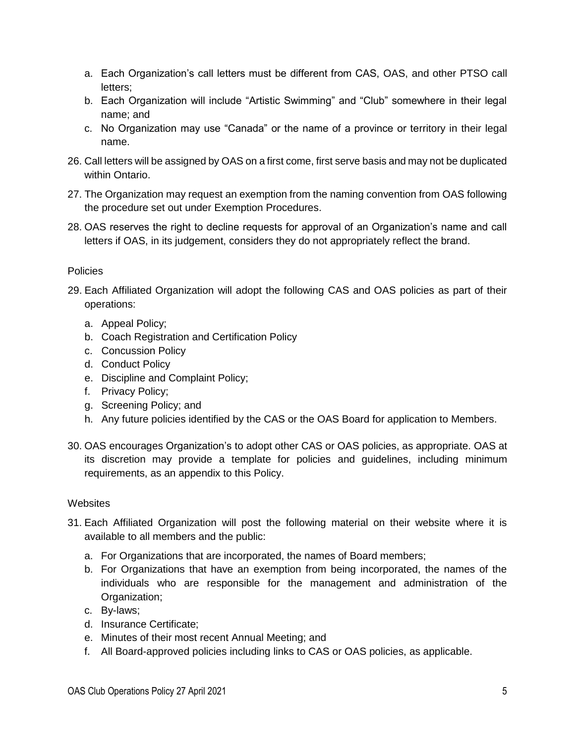- a. Each Organization's call letters must be different from CAS, OAS, and other PTSO call letters;
- b. Each Organization will include "Artistic Swimming" and "Club" somewhere in their legal name; and
- c. No Organization may use "Canada" or the name of a province or territory in their legal name.
- 26. Call letters will be assigned by OAS on a first come, first serve basis and may not be duplicated within Ontario.
- 27. The Organization may request an exemption from the naming convention from OAS following the procedure set out under Exemption Procedures.
- 28. OAS reserves the right to decline requests for approval of an Organization's name and call letters if OAS, in its judgement, considers they do not appropriately reflect the brand.

### Policies

- 29. Each Affiliated Organization will adopt the following CAS and OAS policies as part of their operations:
	- a. Appeal Policy;
	- b. Coach Registration and Certification Policy
	- c. Concussion Policy
	- d. Conduct Policy
	- e. Discipline and Complaint Policy;
	- f. Privacy Policy;
	- g. Screening Policy; and
	- h. Any future policies identified by the CAS or the OAS Board for application to Members.
- 30. OAS encourages Organization's to adopt other CAS or OAS policies, as appropriate. OAS at its discretion may provide a template for policies and guidelines, including minimum requirements, as an appendix to this Policy.

#### **Websites**

- 31. Each Affiliated Organization will post the following material on their website where it is available to all members and the public:
	- a. For Organizations that are incorporated, the names of Board members;
	- b. For Organizations that have an exemption from being incorporated, the names of the individuals who are responsible for the management and administration of the Organization;
	- c. By-laws;
	- d. Insurance Certificate;
	- e. Minutes of their most recent Annual Meeting; and
	- f. All Board-approved policies including links to CAS or OAS policies, as applicable.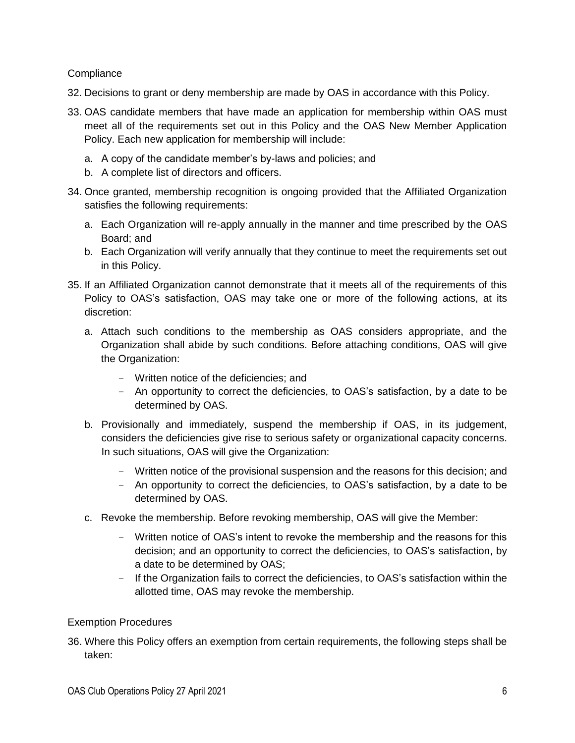#### **Compliance**

- 32. Decisions to grant or deny membership are made by OAS in accordance with this Policy.
- 33. OAS candidate members that have made an application for membership within OAS must meet all of the requirements set out in this Policy and the OAS New Member Application Policy. Each new application for membership will include:
	- a. A copy of the candidate member's by-laws and policies; and
	- b. A complete list of directors and officers.
- 34. Once granted, membership recognition is ongoing provided that the Affiliated Organization satisfies the following requirements:
	- a. Each Organization will re-apply annually in the manner and time prescribed by the OAS Board; and
	- b. Each Organization will verify annually that they continue to meet the requirements set out in this Policy.
- 35. If an Affiliated Organization cannot demonstrate that it meets all of the requirements of this Policy to OAS's satisfaction, OAS may take one or more of the following actions, at its discretion:
	- a. Attach such conditions to the membership as OAS considers appropriate, and the Organization shall abide by such conditions. Before attaching conditions, OAS will give the Organization:
		- Written notice of the deficiencies; and
		- An opportunity to correct the deficiencies, to OAS's satisfaction, by a date to be determined by OAS.
	- b. Provisionally and immediately, suspend the membership if OAS, in its judgement, considers the deficiencies give rise to serious safety or organizational capacity concerns. In such situations, OAS will give the Organization:
		- Written notice of the provisional suspension and the reasons for this decision; and
		- An opportunity to correct the deficiencies, to OAS's satisfaction, by a date to be determined by OAS.
	- c. Revoke the membership. Before revoking membership, OAS will give the Member:
		- Written notice of OAS's intent to revoke the membership and the reasons for this decision; and an opportunity to correct the deficiencies, to OAS's satisfaction, by a date to be determined by OAS;
		- If the Organization fails to correct the deficiencies, to OAS's satisfaction within the allotted time, OAS may revoke the membership.

#### Exemption Procedures

36. Where this Policy offers an exemption from certain requirements, the following steps shall be taken: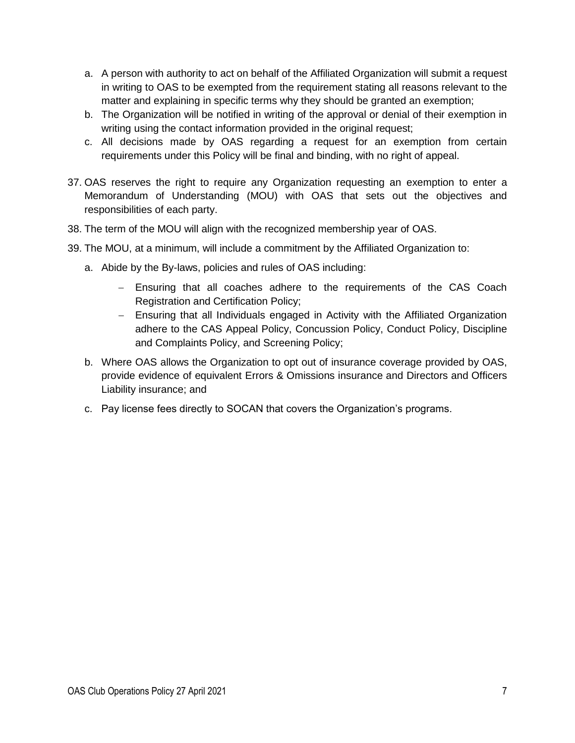- a. A person with authority to act on behalf of the Affiliated Organization will submit a request in writing to OAS to be exempted from the requirement stating all reasons relevant to the matter and explaining in specific terms why they should be granted an exemption;
- b. The Organization will be notified in writing of the approval or denial of their exemption in writing using the contact information provided in the original request;
- c. All decisions made by OAS regarding a request for an exemption from certain requirements under this Policy will be final and binding, with no right of appeal.
- 37. OAS reserves the right to require any Organization requesting an exemption to enter a Memorandum of Understanding (MOU) with OAS that sets out the objectives and responsibilities of each party.
- 38. The term of the MOU will align with the recognized membership year of OAS.
- 39. The MOU, at a minimum, will include a commitment by the Affiliated Organization to:
	- a. Abide by the By-laws, policies and rules of OAS including:
		- − Ensuring that all coaches adhere to the requirements of the CAS Coach Registration and Certification Policy;
		- − Ensuring that all Individuals engaged in Activity with the Affiliated Organization adhere to the CAS Appeal Policy, Concussion Policy, Conduct Policy, Discipline and Complaints Policy, and Screening Policy;
	- b. Where OAS allows the Organization to opt out of insurance coverage provided by OAS, provide evidence of equivalent Errors & Omissions insurance and Directors and Officers Liability insurance; and
	- c. Pay license fees directly to SOCAN that covers the Organization's programs.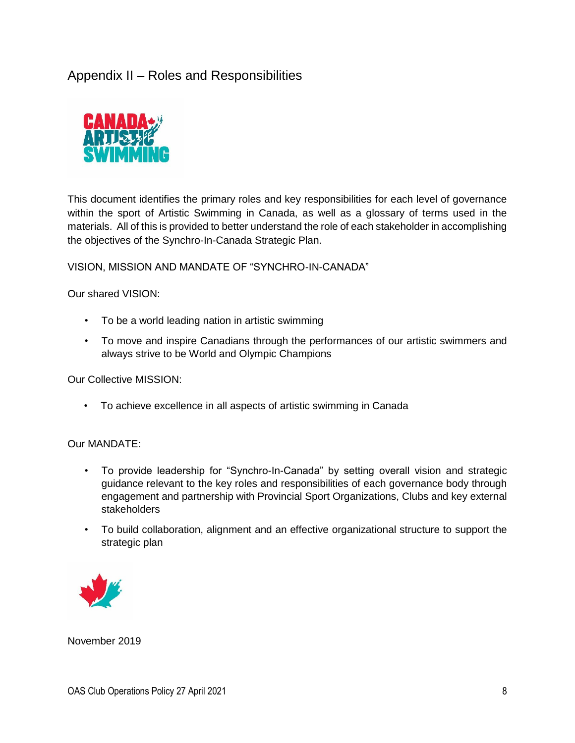# Appendix II – Roles and Responsibilities



This document identifies the primary roles and key responsibilities for each level of governance within the sport of Artistic Swimming in Canada, as well as a glossary of terms used in the materials. All of this is provided to better understand the role of each stakeholder in accomplishing the objectives of the Synchro-In-Canada Strategic Plan.

VISION, MISSION AND MANDATE OF "SYNCHRO-IN-CANADA"

Our shared VISION:

- To be a world leading nation in artistic swimming
- To move and inspire Canadians through the performances of our artistic swimmers and always strive to be World and Olympic Champions

Our Collective MISSION:

• To achieve excellence in all aspects of artistic swimming in Canada

Our MANDATE:

- To provide leadership for "Synchro-In-Canada" by setting overall vision and strategic guidance relevant to the key roles and responsibilities of each governance body through engagement and partnership with Provincial Sport Organizations, Clubs and key external stakeholders
- To build collaboration, alignment and an effective organizational structure to support the strategic plan



November 2019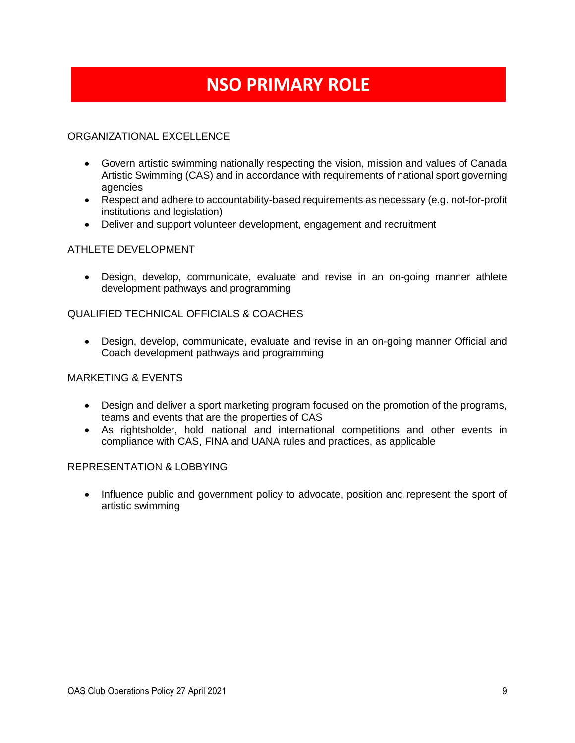# **NSO PRIMARY ROLE**

### ORGANIZATIONAL EXCELLENCE

- Govern artistic swimming nationally respecting the vision, mission and values of Canada Artistic Swimming (CAS) and in accordance with requirements of national sport governing agencies
- Respect and adhere to accountability-based requirements as necessary (e.g. not-for-profit institutions and legislation)
- Deliver and support volunteer development, engagement and recruitment

#### ATHLETE DEVELOPMENT

• Design, develop, communicate, evaluate and revise in an on-going manner athlete development pathways and programming

#### QUALIFIED TECHNICAL OFFICIALS & COACHES

• Design, develop, communicate, evaluate and revise in an on-going manner Official and Coach development pathways and programming

#### MARKETING & EVENTS

- Design and deliver a sport marketing program focused on the promotion of the programs, teams and events that are the properties of CAS
- As rightsholder, hold national and international competitions and other events in compliance with CAS, FINA and UANA rules and practices, as applicable

#### REPRESENTATION & LOBBYING

• Influence public and government policy to advocate, position and represent the sport of artistic swimming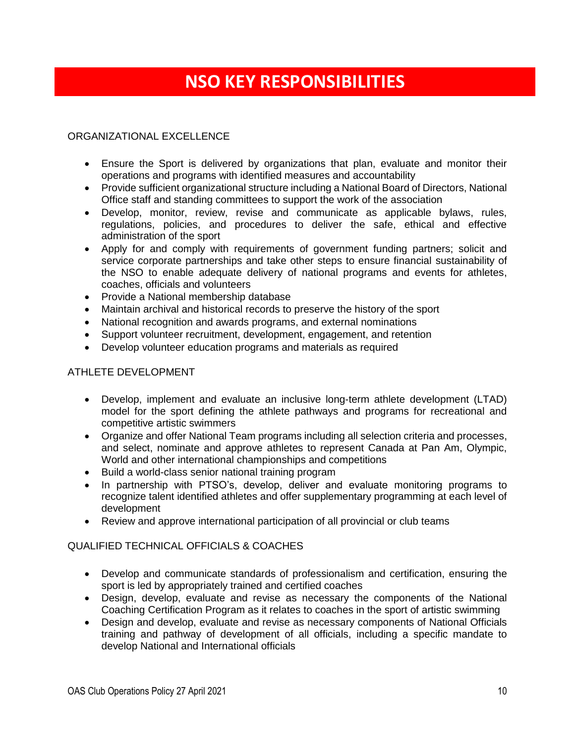# **NSO KEY RESPONSIBILITIES**

#### ORGANIZATIONAL EXCELLENCE

- Ensure the Sport is delivered by organizations that plan, evaluate and monitor their operations and programs with identified measures and accountability
- Provide sufficient organizational structure including a National Board of Directors, National Office staff and standing committees to support the work of the association
- Develop, monitor, review, revise and communicate as applicable bylaws, rules, regulations, policies, and procedures to deliver the safe, ethical and effective administration of the sport
- Apply for and comply with requirements of government funding partners; solicit and service corporate partnerships and take other steps to ensure financial sustainability of the NSO to enable adequate delivery of national programs and events for athletes, coaches, officials and volunteers
- Provide a National membership database
- Maintain archival and historical records to preserve the history of the sport
- National recognition and awards programs, and external nominations
- Support volunteer recruitment, development, engagement, and retention
- Develop volunteer education programs and materials as required

#### ATHLETE DEVELOPMENT

- Develop, implement and evaluate an inclusive long-term athlete development (LTAD) model for the sport defining the athlete pathways and programs for recreational and competitive artistic swimmers
- Organize and offer National Team programs including all selection criteria and processes, and select, nominate and approve athletes to represent Canada at Pan Am, Olympic, World and other international championships and competitions
- Build a world-class senior national training program
- In partnership with PTSO's, develop, deliver and evaluate monitoring programs to recognize talent identified athletes and offer supplementary programming at each level of development
- Review and approve international participation of all provincial or club teams

#### QUALIFIED TECHNICAL OFFICIALS & COACHES

- Develop and communicate standards of professionalism and certification, ensuring the sport is led by appropriately trained and certified coaches
- Design, develop, evaluate and revise as necessary the components of the National Coaching Certification Program as it relates to coaches in the sport of artistic swimming
- Design and develop, evaluate and revise as necessary components of National Officials training and pathway of development of all officials, including a specific mandate to develop National and International officials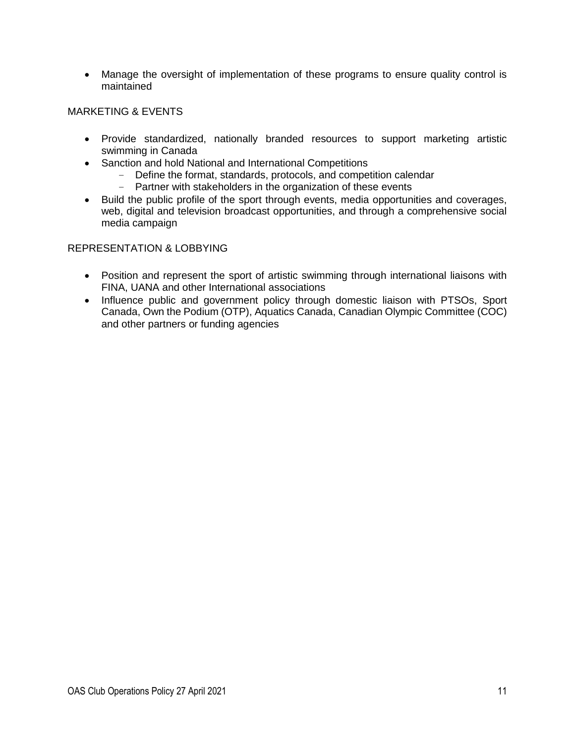• Manage the oversight of implementation of these programs to ensure quality control is maintained

#### MARKETING & EVENTS

- Provide standardized, nationally branded resources to support marketing artistic swimming in Canada
- Sanction and hold National and International Competitions
	- Define the format, standards, protocols, and competition calendar
	- Partner with stakeholders in the organization of these events
- Build the public profile of the sport through events, media opportunities and coverages, web, digital and television broadcast opportunities, and through a comprehensive social media campaign

#### REPRESENTATION & LOBBYING

- Position and represent the sport of artistic swimming through international liaisons with FINA, UANA and other International associations
- Influence public and government policy through domestic liaison with PTSOs, Sport Canada, Own the Podium (OTP), Aquatics Canada, Canadian Olympic Committee (COC) and other partners or funding agencies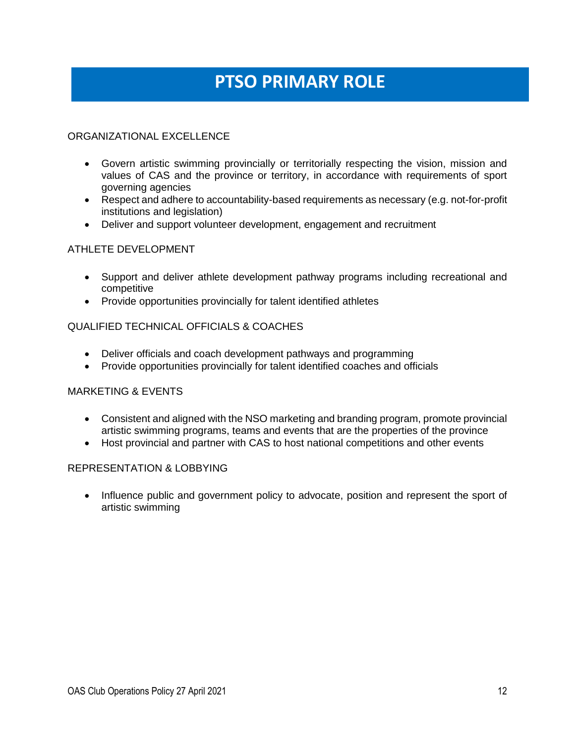# **PTSO PRIMARY ROLE**

### ORGANIZATIONAL EXCELLENCE

- Govern artistic swimming provincially or territorially respecting the vision, mission and values of CAS and the province or territory, in accordance with requirements of sport governing agencies
- Respect and adhere to accountability-based requirements as necessary (e.g. not-for-profit institutions and legislation)
- Deliver and support volunteer development, engagement and recruitment

#### ATHLETE DEVELOPMENT

- Support and deliver athlete development pathway programs including recreational and competitive
- Provide opportunities provincially for talent identified athletes

#### QUALIFIED TECHNICAL OFFICIALS & COACHES

- Deliver officials and coach development pathways and programming
- Provide opportunities provincially for talent identified coaches and officials

#### MARKETING & EVENTS

- Consistent and aligned with the NSO marketing and branding program, promote provincial artistic swimming programs, teams and events that are the properties of the province
- Host provincial and partner with CAS to host national competitions and other events

#### REPRESENTATION & LOBBYING

• Influence public and government policy to advocate, position and represent the sport of artistic swimming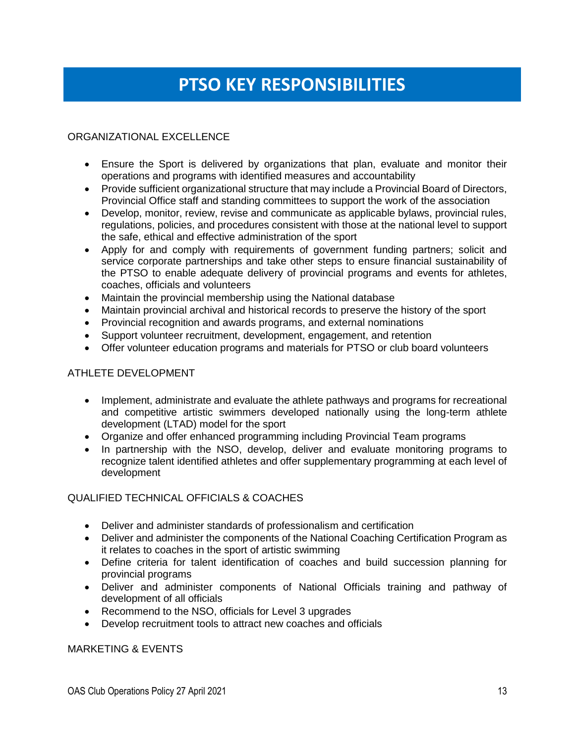# **PTSO KEY RESPONSIBILITIES**

### ORGANIZATIONAL EXCELLENCE

- Ensure the Sport is delivered by organizations that plan, evaluate and monitor their operations and programs with identified measures and accountability
- Provide sufficient organizational structure that may include a Provincial Board of Directors, Provincial Office staff and standing committees to support the work of the association
- Develop, monitor, review, revise and communicate as applicable bylaws, provincial rules, regulations, policies, and procedures consistent with those at the national level to support the safe, ethical and effective administration of the sport
- Apply for and comply with requirements of government funding partners; solicit and service corporate partnerships and take other steps to ensure financial sustainability of the PTSO to enable adequate delivery of provincial programs and events for athletes, coaches, officials and volunteers
- Maintain the provincial membership using the National database
- Maintain provincial archival and historical records to preserve the history of the sport
- Provincial recognition and awards programs, and external nominations
- Support volunteer recruitment, development, engagement, and retention
- Offer volunteer education programs and materials for PTSO or club board volunteers

#### ATHLETE DEVELOPMENT

- Implement, administrate and evaluate the athlete pathways and programs for recreational and competitive artistic swimmers developed nationally using the long-term athlete development (LTAD) model for the sport
- Organize and offer enhanced programming including Provincial Team programs
- In partnership with the NSO, develop, deliver and evaluate monitoring programs to recognize talent identified athletes and offer supplementary programming at each level of development

#### QUALIFIED TECHNICAL OFFICIALS & COACHES

- Deliver and administer standards of professionalism and certification
- Deliver and administer the components of the National Coaching Certification Program as it relates to coaches in the sport of artistic swimming
- Define criteria for talent identification of coaches and build succession planning for provincial programs
- Deliver and administer components of National Officials training and pathway of development of all officials
- Recommend to the NSO, officials for Level 3 upgrades
- Develop recruitment tools to attract new coaches and officials

#### MARKETING & EVENTS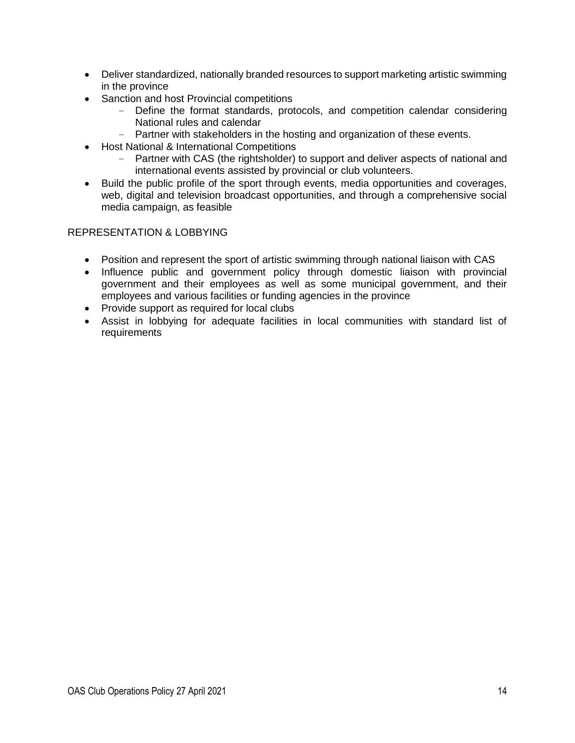- Deliver standardized, nationally branded resources to support marketing artistic swimming in the province
- Sanction and host Provincial competitions
	- Define the format standards, protocols, and competition calendar considering National rules and calendar
	- Partner with stakeholders in the hosting and organization of these events.
- Host National & International Competitions
	- Partner with CAS (the rightsholder) to support and deliver aspects of national and international events assisted by provincial or club volunteers.
- Build the public profile of the sport through events, media opportunities and coverages, web, digital and television broadcast opportunities, and through a comprehensive social media campaign, as feasible

#### REPRESENTATION & LOBBYING

- Position and represent the sport of artistic swimming through national liaison with CAS
- Influence public and government policy through domestic liaison with provincial government and their employees as well as some municipal government, and their employees and various facilities or funding agencies in the province
- Provide support as required for local clubs
- Assist in lobbying for adequate facilities in local communities with standard list of requirements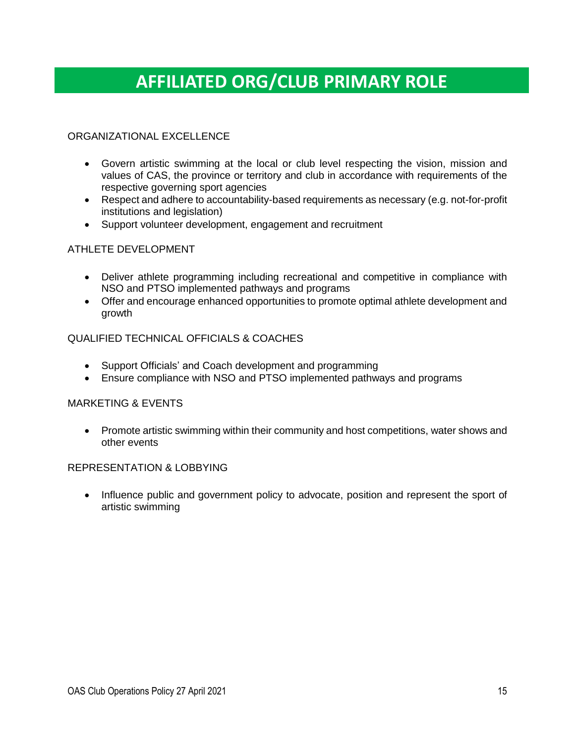# **AFFILIATED ORG/CLUB PRIMARY ROLE**

### ORGANIZATIONAL EXCELLENCE

- Govern artistic swimming at the local or club level respecting the vision, mission and values of CAS, the province or territory and club in accordance with requirements of the respective governing sport agencies
- Respect and adhere to accountability-based requirements as necessary (e.g. not-for-profit institutions and legislation)
- Support volunteer development, engagement and recruitment

#### ATHLETE DEVELOPMENT

- Deliver athlete programming including recreational and competitive in compliance with NSO and PTSO implemented pathways and programs
- Offer and encourage enhanced opportunities to promote optimal athlete development and growth

#### QUALIFIED TECHNICAL OFFICIALS & COACHES

- Support Officials' and Coach development and programming
- Ensure compliance with NSO and PTSO implemented pathways and programs

#### MARKETING & EVENTS

• Promote artistic swimming within their community and host competitions, water shows and other events

#### REPRESENTATION & LOBBYING

• Influence public and government policy to advocate, position and represent the sport of artistic swimming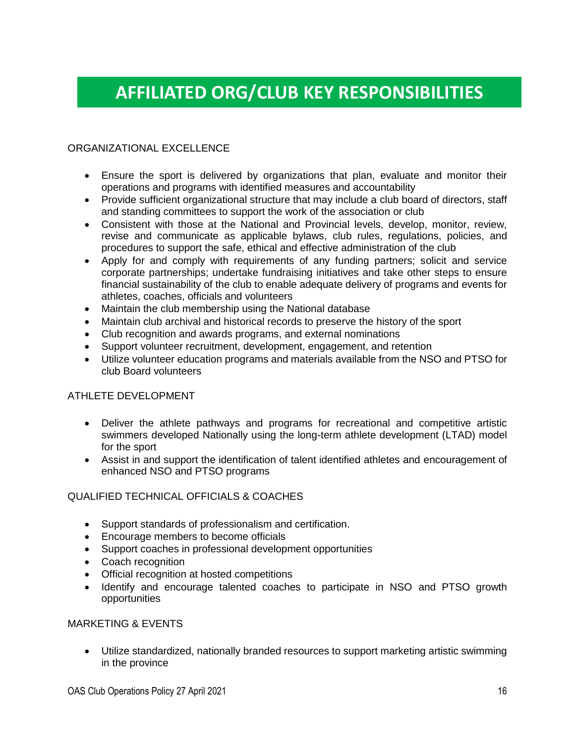# **AFFILIATED ORG/CLUB KEY RESPONSIBILITIES**

#### ORGANIZATIONAL EXCELLENCE

- Ensure the sport is delivered by organizations that plan, evaluate and monitor their operations and programs with identified measures and accountability
- Provide sufficient organizational structure that may include a club board of directors, staff and standing committees to support the work of the association or club
- Consistent with those at the National and Provincial levels, develop, monitor, review, revise and communicate as applicable bylaws, club rules, regulations, policies, and procedures to support the safe, ethical and effective administration of the club
- Apply for and comply with requirements of any funding partners; solicit and service corporate partnerships; undertake fundraising initiatives and take other steps to ensure financial sustainability of the club to enable adequate delivery of programs and events for athletes, coaches, officials and volunteers
- Maintain the club membership using the National database
- Maintain club archival and historical records to preserve the history of the sport
- Club recognition and awards programs, and external nominations
- Support volunteer recruitment, development, engagement, and retention
- Utilize volunteer education programs and materials available from the NSO and PTSO for club Board volunteers

#### ATHLETE DEVELOPMENT

- Deliver the athlete pathways and programs for recreational and competitive artistic swimmers developed Nationally using the long-term athlete development (LTAD) model for the sport
- Assist in and support the identification of talent identified athletes and encouragement of enhanced NSO and PTSO programs

#### QUALIFIED TECHNICAL OFFICIALS & COACHES

- Support standards of professionalism and certification.
- Encourage members to become officials
- Support coaches in professional development opportunities
- Coach recognition
- Official recognition at hosted competitions
- Identify and encourage talented coaches to participate in NSO and PTSO growth opportunities

#### MARKETING & EVENTS

• Utilize standardized, nationally branded resources to support marketing artistic swimming in the province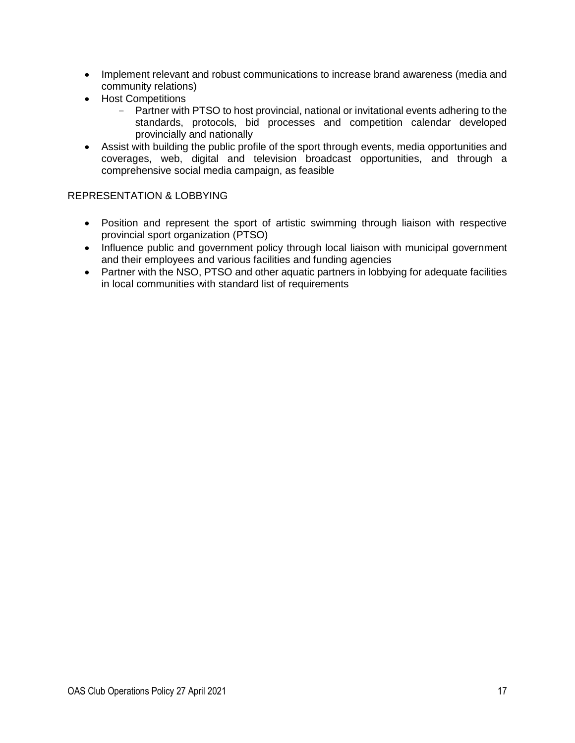- Implement relevant and robust communications to increase brand awareness (media and community relations)
- Host Competitions
	- Partner with PTSO to host provincial, national or invitational events adhering to the standards, protocols, bid processes and competition calendar developed provincially and nationally
- Assist with building the public profile of the sport through events, media opportunities and coverages, web, digital and television broadcast opportunities, and through a comprehensive social media campaign, as feasible

### REPRESENTATION & LOBBYING

- Position and represent the sport of artistic swimming through liaison with respective provincial sport organization (PTSO)
- Influence public and government policy through local liaison with municipal government and their employees and various facilities and funding agencies
- Partner with the NSO, PTSO and other aquatic partners in lobbying for adequate facilities in local communities with standard list of requirements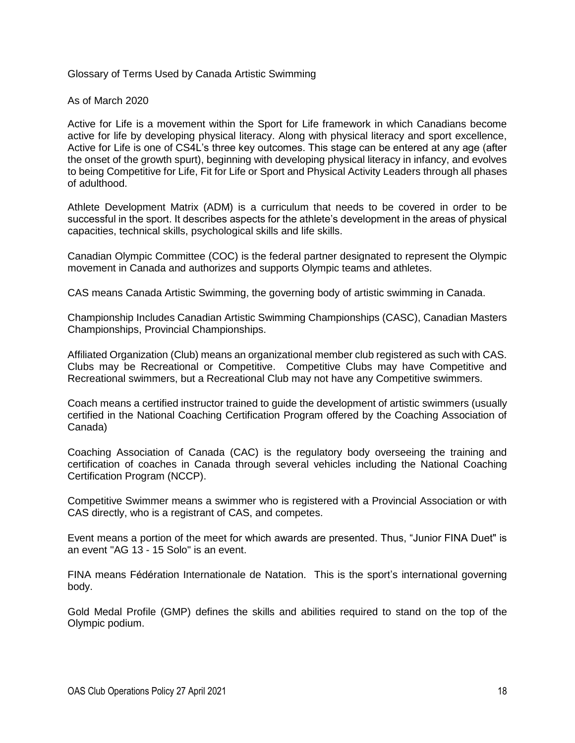Glossary of Terms Used by Canada Artistic Swimming

As of March 2020

Active for Life is a movement within the Sport for Life framework in which Canadians become active for life by developing physical literacy. Along with physical literacy and sport excellence, Active for Life is one of CS4L's three key outcomes. This stage can be entered at any age (after the onset of the growth spurt), beginning with developing physical literacy in infancy, and evolves to being Competitive for Life, Fit for Life or Sport and Physical Activity Leaders through all phases of adulthood.

Athlete Development Matrix (ADM) is a curriculum that needs to be covered in order to be successful in the sport. It describes aspects for the athlete's development in the areas of physical capacities, technical skills, psychological skills and life skills.

Canadian Olympic Committee (COC) is the federal partner designated to represent the Olympic movement in Canada and authorizes and supports Olympic teams and athletes.

CAS means Canada Artistic Swimming, the governing body of artistic swimming in Canada.

Championship Includes Canadian Artistic Swimming Championships (CASC), Canadian Masters Championships, Provincial Championships.

Affiliated Organization (Club) means an organizational member club registered as such with CAS. Clubs may be Recreational or Competitive. Competitive Clubs may have Competitive and Recreational swimmers, but a Recreational Club may not have any Competitive swimmers.

Coach means a certified instructor trained to guide the development of artistic swimmers (usually certified in the National Coaching Certification Program offered by the Coaching Association of Canada)

Coaching Association of Canada (CAC) is the regulatory body overseeing the training and certification of coaches in Canada through several vehicles including the National Coaching Certification Program (NCCP).

Competitive Swimmer means a swimmer who is registered with a Provincial Association or with CAS directly, who is a registrant of CAS, and competes.

Event means a portion of the meet for which awards are presented. Thus, "Junior FINA Duet" is an event "AG 13 - 15 Solo" is an event.

FINA means Fédération Internationale de Natation. This is the sport's international governing body.

Gold Medal Profile (GMP) defines the skills and abilities required to stand on the top of the Olympic podium.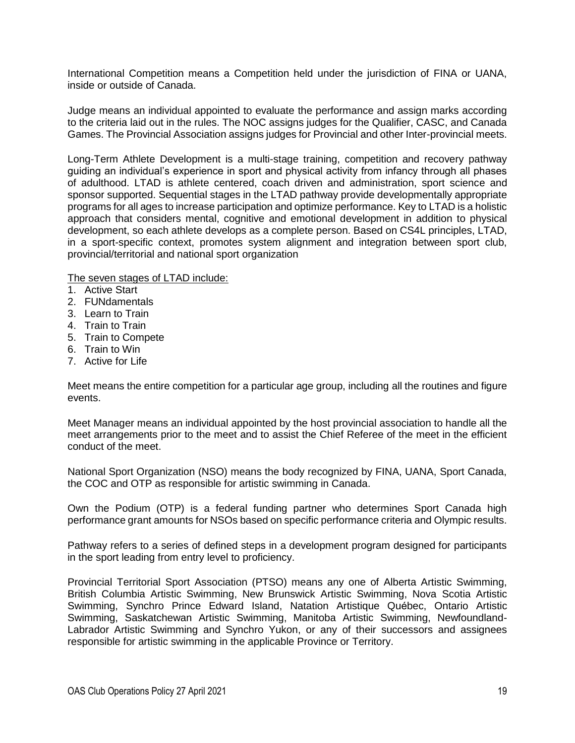International Competition means a Competition held under the jurisdiction of FINA or UANA, inside or outside of Canada.

Judge means an individual appointed to evaluate the performance and assign marks according to the criteria laid out in the rules. The NOC assigns judges for the Qualifier, CASC, and Canada Games. The Provincial Association assigns judges for Provincial and other Inter-provincial meets.

Long-Term Athlete Development is a multi-stage training, competition and recovery pathway guiding an individual's experience in sport and physical activity from infancy through all phases of adulthood. LTAD is athlete centered, coach driven and administration, sport science and sponsor supported. Sequential stages in the LTAD pathway provide developmentally appropriate programs for all ages to increase participation and optimize performance. Key to LTAD is a holistic approach that considers mental, cognitive and emotional development in addition to physical development, so each athlete develops as a complete person. Based on CS4L principles, LTAD, in a sport-specific context, promotes system alignment and integration between sport club, provincial/territorial and national sport organization

The seven stages of LTAD include:

- 1. Active Start
- 2. FUNdamentals
- 3. Learn to Train
- 4. Train to Train
- 5. Train to Compete
- 6. Train to Win
- 7. Active for Life

Meet means the entire competition for a particular age group, including all the routines and figure events.

Meet Manager means an individual appointed by the host provincial association to handle all the meet arrangements prior to the meet and to assist the Chief Referee of the meet in the efficient conduct of the meet.

National Sport Organization (NSO) means the body recognized by FINA, UANA, Sport Canada, the COC and OTP as responsible for artistic swimming in Canada.

Own the Podium (OTP) is a federal funding partner who determines Sport Canada high performance grant amounts for NSOs based on specific performance criteria and Olympic results.

Pathway refers to a series of defined steps in a development program designed for participants in the sport leading from entry level to proficiency.

Provincial Territorial Sport Association (PTSO) means any one of Alberta Artistic Swimming, British Columbia Artistic Swimming, New Brunswick Artistic Swimming, Nova Scotia Artistic Swimming, Synchro Prince Edward Island, Natation Artistique Québec, Ontario Artistic Swimming, Saskatchewan Artistic Swimming, Manitoba Artistic Swimming, Newfoundland-Labrador Artistic Swimming and Synchro Yukon, or any of their successors and assignees responsible for artistic swimming in the applicable Province or Territory.